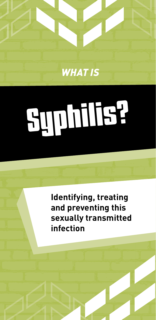

# Syphilis?

**Identifying, treating and preventing this sexually transmitted infection**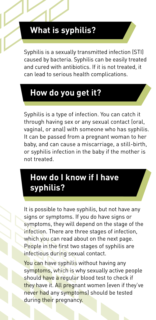## **What is syphilis?**

Syphilis is a sexually transmitted infection (STI) caused by bacteria. Syphilis can be easily treated and cured with antibiotics. If it is not treated, it can lead to serious health complications.

# **How do you get it?**

Syphilis is a type of infection. You can catch it through having sex or any sexual contact (oral, vaginal, or anal) with someone who has syphilis. It can be passed from a pregnant woman to her baby, and can cause a miscarriage, a still-birth, or syphilis infection in the baby if the mother is not treated.

# **How do I know if I have syphilis?**

It is possible to have syphilis, but not have any signs or symptoms. If you do have signs or symptoms, they will depend on the stage of the infection. There are three stages of infection, fection in which you can read about on the next page. People in the first two stages of syphilis are infectious during sexual contact.

<mark>You can</mark> have syphilis without having any symptoms, which is why sexually active people should have a regular blood test to check if they have it. All pregnant women (even if they've never had any symptoms) should be tested during their pregnancy.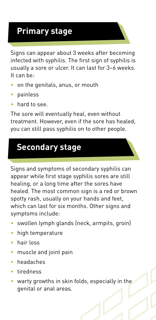# **Primary stage**

Signs can appear about 3 weeks after becoming infected with syphilis. The first sign of syphilis is usually a sore or ulcer. It can last for 3–6 weeks. It can be:

- on the genitals, anus, or mouth
- painless
- hard to see.

The sore will eventually heal, even without treatment. However, even if the sore has healed, you can still pass syphilis on to other people.

### **Secondary stage**

Signs and symptoms of secondary syphilis can appear while first stage syphilis sores are still healing, or a long time after the sores have healed. The most common sign is a red or brown spotty rash, usually on your hands and feet, which can last for six months. Other signs and symptoms include:

- swollen lymph glands (neck, armpits, groin)
- high temperature
- hair loss
- muscle and joint pain
- headaches
- tiredness
- warty growths in skin folds, especially in the genital or anal areas. e ex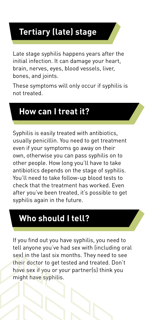# **Tertiary (late) stage**

Late stage syphilis happens years after the initial infection. It can damage your heart, brain, nerves, eyes, blood vessels, liver, bones, and joints.

These symptoms will only occur if syphilis is not treated.

### **How can I treat it?**

Syphilis is easily treated with antibiotics, usually penicillin. You need to get treatment even if your symptoms go away on their own, otherwise you can pass syphilis on to other people. How long you'll have to take antibiotics depends on the stage of syphilis. You'll need to take follow-up blood tests to check that the treatment has worked. Even after you've been treated, it's possible to get syphilis again in the future.

# **Who should I tell?**

If you find out you have syphilis, you need to tell anyone you've had sex with (including oral sex) in the last six months. They need to see their doctor to get tested and treated. Don't have sex if you or your partner(s) think you might have syphilis. sex<br>the<br>hav<br>mig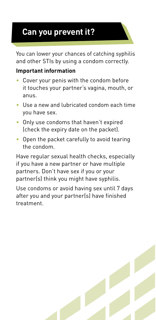# **Can you prevent it?**

You can lower your chances of catching syphilis and other STIs by using a condom correctly.

#### **Important information**

- Cover your penis with the condom before it touches your partner's vagina, mouth, or anus.
- Use a new and lubricated condom each time you have sex.
- Only use condoms that haven't expired (check the expiry date on the packet).
- Open the packet carefully to avoid tearing the condom.

Have regular sexual health checks, especially if you have a new partner or have multiple partners. Don't have sex if you or your partner(s) think you might have syphilis.

Use condoms or avoid having sex until 7 days after you and your partner(s) have finished treatment.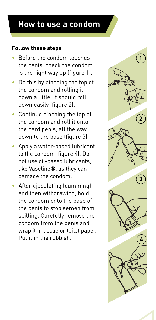#### **How to use a condom**

#### **Follow these steps**

- Before the condom touches the penis, check the condom is the right way up (figure 1).
- Do this by pinching the top of the condom and rolling it down a little. It should roll down easily (figure 2).
- Continue pinching the top of the condom and roll it onto the hard penis, all the way down to the base (figure 3).
- Apply a water-based lubricant to the condom (figure 4). Do not use oil-based lubricants, like Vaseline®, as they can damage the condom.
- After ejaculating (cumming) and then withdrawing, hold the condom onto the base of the penis to stop semen from spilling. Carefully remove the condom from the penis and wrap it in tissue or toilet paper. Put it in the rubbish.

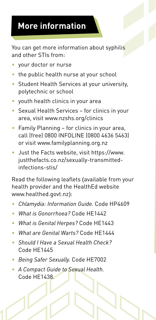# **More information**

You can get more information about syphilis and other STIs from:

- your doctor or nurse
- the public health nurse at your school
- Student Health Services at your university, polytechnic or school
- youth health clinics in your area
- Sexual Health Services for clinics in your area, visit www.nzshs.org/clinics
- Family Planning for clinics in your area, call (free) 0800 INFOLINE (0800 4636 5463) or visit www.familyplanning.org.nz
- Just the Facts website, visit https://www. justthefacts.co.nz/sexually-transmittedinfections-stis/

Read the following leaflets (available from your health provider and the HealthEd website www.healthed.govt.nz):

- *Chlamydia: Information Guide.* Code HP4609
- *What is Gonorrhoea?* Code HE1442
- *What is Genital Herpes?* Code HE1443
- *What are Genital Warts?* Code HE1444
- *Should I Have a Sexual Health Check?* Code HE1445
- *Being Safer Sexually.* Code HE7002
- *A Compact Guide to Sexual Health.* Code HE1438.